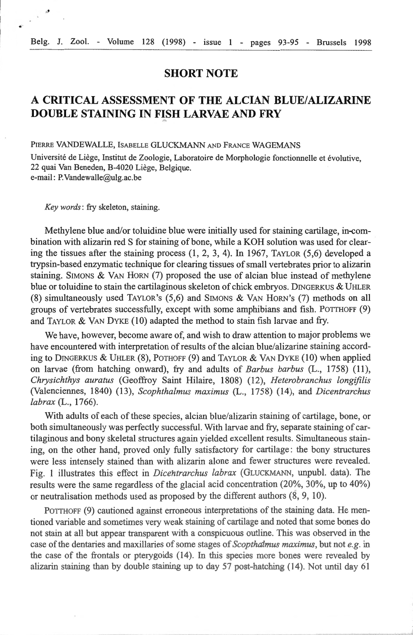## **SHORT NOTE**

## **A CRITICAL ASSESSMENT OF THE ALCIAN BLUE/ALIZARINE DOUBLE STAINING IN FISH LARVAE AND FRY** ...

PIERRE VANDEWALLE, ISABELLE GLUCKMANN AND FRANCE WAGEMANS

Université de Liège, Institut de Zoologie, Laboratoire de Morphologie fonctionnelle et évolutive, 22 quai Van Beneden, B-4020 Liège, Belgique. e-mail: P.Vandewalle@ulg.ac.be

*Key words:* fry skeleton, staining.

 $\mathbb{R}^{\mathbb{Z}^2}$ 

Methylene blue and/or toluidine blue were initially used for staining cartilage, in-combination with alizarin red S for staining of bone, while a KOH solution was used for clearing the tissues after the staining process (1, 2, 3, 4). In 1967, TAYLOR (5,6) developed a trypsin-based enzymatic technique for clearing tissues of small vertebrates prior to alizarin staining. SIMONS & VAN HORN  $(7)$  proposed the use of alcian blue instead of methylene blue or toluidine to stain the cartilaginous skeleton of chick embryos. DINGERKUS & UHLER (8) simultaneously used TAYLOR's (5,6) and SrMONS & VAN HoRN's (7) methods on ali groups of vertebrates successfully, except with sorne amphibians and fish. PoTTHOFF (9) and TAYLOR & VAN DYKE  $(10)$  adapted the method to stain fish larvae and fry.

We have, however, become aware of, and wish to draw attention to major problems we have encountered with interpretation of results of the alcian blue/alizarine staining according to DINGERKUS & UHLER (8), POTHOFF (9) and TAYLOR & VAN DYKE (10) when applied on larvae (from hatching onward), fry and adults of *Barbus barbus* (L., 1758) (11), *Chrysichthys aura tus* (Geoffroy Saint Hilaire, 1808) ( 12), *Heterobranchus longifilis*  (Valenciennes, 1840) (13), *Scophthalmus maximus* (L., 1758) (14), and *Dicentrarchus labrax* (L., 1766).

With adults of each of these species, alcian blue/alizarin staining of cartilage, bone, or both simultaneously was perfectly successful. With larvae and fry, separate staining of cartilaginous and bony skeletal structures again yielded excellent results. Simultaneous staining, on the other hand, proved only fully satisfactory for cartilage: the bony structures were less intensely stained than with alizarin alone and fewer structures were revealed. Fig. 1 illustrates this effect in *Dicehtrarchus labrax* (GLUCKMANN, unpubl. data). The results were the same regardless of the glacial acid concentration (20%, 30%, up to 40%) or neutralisation methods used as proposed by the different authors (8, 9, 10).

POTTHOFF (9) cautioned against erroneous interpretations of the staining data. He mentioned variable and sometimes very weak staining of cartilage and noted that some bones do not stain at all but appear transparent with a conspicuous outline. This was observed in the case of the dentaries and maxillaries of sorne stages of *Scopthalmus maximus,* but not *e.g.* in the case of the frontals or pterygoids (14). In this species more bones were revealed by alizarin staining than by double staining up to day  $57$  post-hatching (14). Not until day  $61$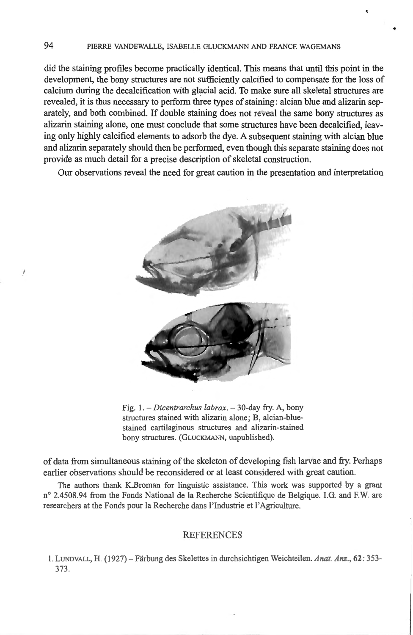did the staining profiles become practically identical. This means that until this point in the development, the bony structures are not sufficiently calcified to compensate for the loss of calcium during the decalcification with glacial acid. To make sure all skeletal structures are revealed, it is thus necessary to perform three types of staining: alcian blue and alizarin separately, and both combined. If double staining does not reveal the same bony structures as alizarin staining alone, one must conclude that some structures have been decalcified, leaving only highly calcified elements to adsorb the dye. A subsequent staining with alcian blue and alizarin separately should then be performed, even though this separate staining does not provide as much detail for a precise description of skeletal construction.

Our observations reveal the need for great caution in the presentation and interpretation



Fig. 1. - *Dicentrarchus labrax*. - 30-day fry. A, bony structures stained with alizarin alone; B, alcian-bluestained cartilaginous structures and alizarin-stained bony structures. (GLUCKMANN, unpublished).

of data from simultaneous staining of the skeleton of developing fish larvàe and fry. Perhaps earlier observations should be reconsidered or at least considered with great caution.

The authors thank K.Broman for linguistic assistance. This work was supported by a grant n° 2.4508.94 from the Fonds National de la Recherche Scientifique de Belgique. I.G. and F.W. are researchers at the Fonds pour la Recherche dans l'Industrie et l'Agriculture.

## **REFERENCES**

1. LVNDVALL, H. ( 1927) - Farbung des Skelettes in durchsichtigen Weichteilen. *Anal. Anz.,* 62 : 353- 373.

*1*